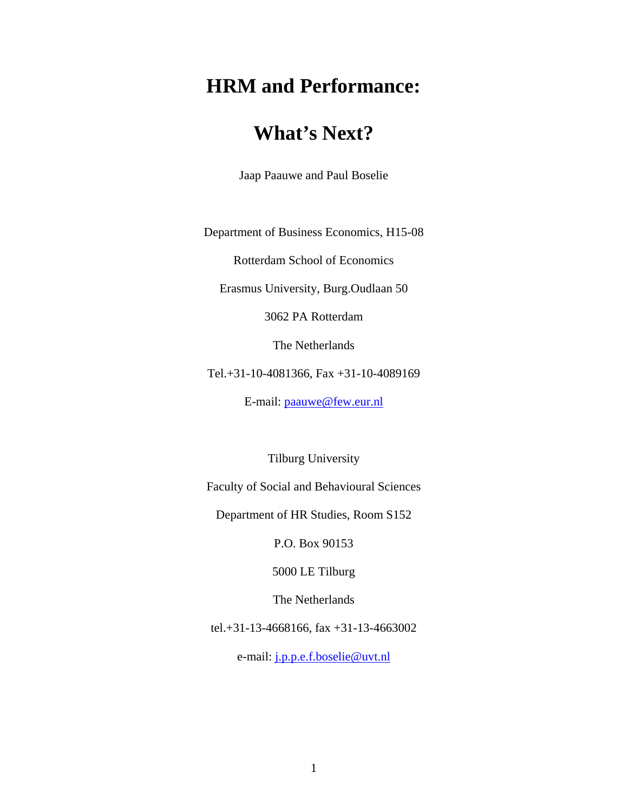# **HRM and Performance:**

# **What's Next?**

Jaap Paauwe and Paul Boselie

Department of Business Economics, H15-08

Rotterdam School of Economics

Erasmus University, Burg.Oudlaan 50

3062 PA Rotterdam

The Netherlands

Tel.+31-10-4081366, Fax +31-10-4089169

E-mail: [paauwe@few.eur.nl](mailto:paauwe@few.eur.nl) 

Tilburg University

Faculty of Social and Behavioural Sciences

Department of HR Studies, Room S152

P.O. Box 90153

5000 LE Tilburg

The Netherlands

tel.+31-13-4668166, fax +31-13-4663002

e-mail: [j.p.p.e.f.boselie@uvt.nl](mailto:j.p.p.e.f.boselie@uvt.nl)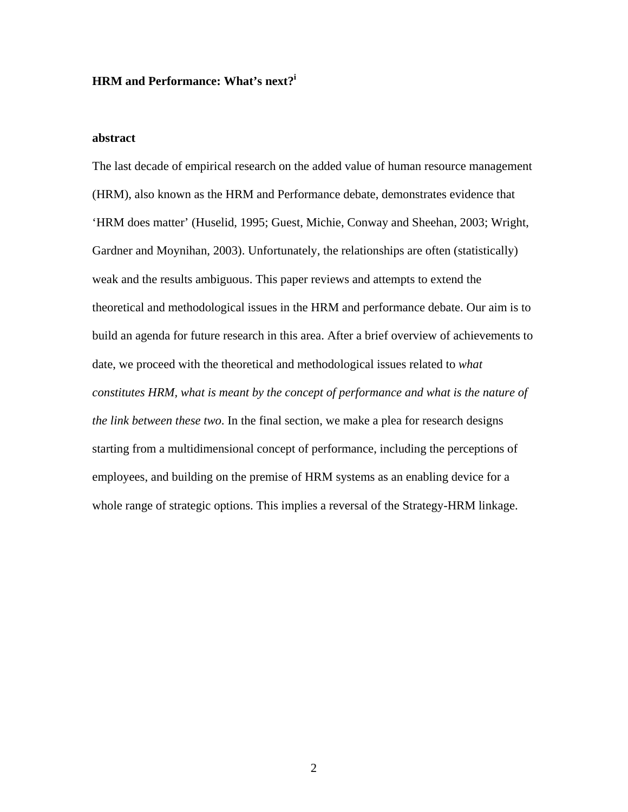# **HRM and Performance: What's next?[i](#page-38-0)**

## **abstract**

The last decade of empirical research on the added value of human resource management (HRM), also known as the HRM and Performance debate, demonstrates evidence that 'HRM does matter' (Huselid, 1995; Guest, Michie, Conway and Sheehan, 2003; Wright, Gardner and Moynihan, 2003). Unfortunately, the relationships are often (statistically) weak and the results ambiguous. This paper reviews and attempts to extend the theoretical and methodological issues in the HRM and performance debate. Our aim is to build an agenda for future research in this area. After a brief overview of achievements to date, we proceed with the theoretical and methodological issues related to *what constitutes HRM, what is meant by the concept of performance and what is the nature of the link between these two*. In the final section, we make a plea for research designs starting from a multidimensional concept of performance, including the perceptions of employees, and building on the premise of HRM systems as an enabling device for a whole range of strategic options. This implies a reversal of the Strategy-HRM linkage.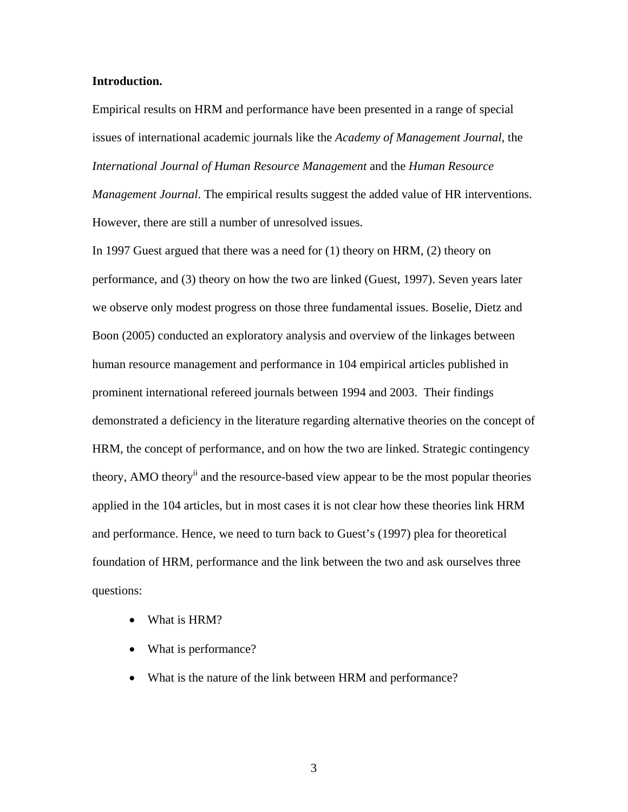# **Introduction.**

Empirical results on HRM and performance have been presented in a range of special issues of international academic journals like the *Academy of Management Journal*, the *International Journal of Human Resource Management* and the *Human Resource Management Journal*. The empirical results suggest the added value of HR interventions. However, there are still a number of unresolved issues.

In 1997 Guest argued that there was a need for (1) theory on HRM, (2) theory on performance, and (3) theory on how the two are linked (Guest, 1997). Seven years later we observe only modest progress on those three fundamental issues. Boselie, Dietz and Boon (2005) conducted an exploratory analysis and overview of the linkages between human resource management and performance in 104 empirical articles published in prominent international refereed journals between 1994 and 2003. Their findings demonstrated a deficiency in the literature regarding alternative theories on the concept of HRM, the concept of performance, and on how the two are linked. Strategic contingency theory, AMO theory<sup>ii</sup> and the resource-based view appear to be the most popular theories applied in the 104 articles, but in most cases it is not clear how these theories link HRM and performance. Hence, we need to turn back to Guest's (1997) plea for theoretical foundation of HRM, performance and the link between the two and ask ourselves three questions:

- What is HRM?
- What is performance?
- What is the nature of the link between HRM and performance?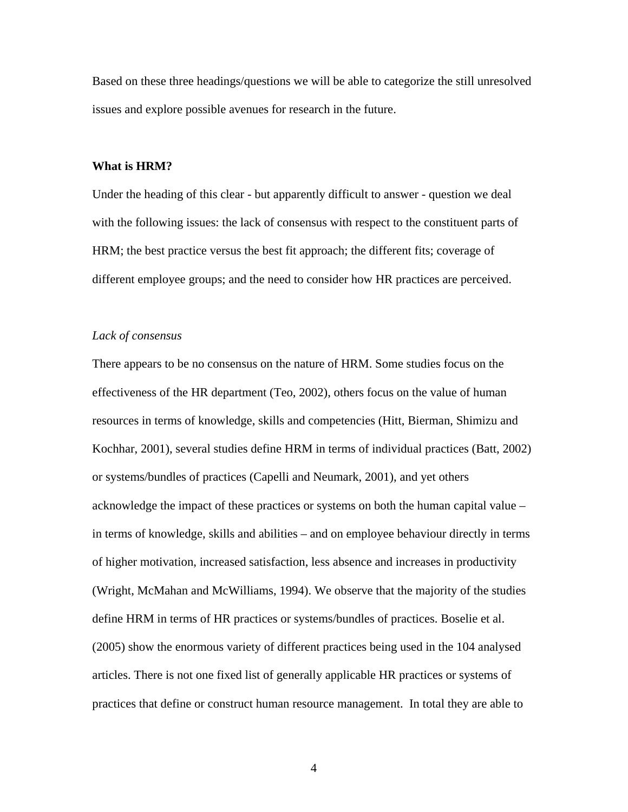Based on these three headings/questions we will be able to categorize the still unresolved issues and explore possible avenues for research in the future.

#### **What is HRM?**

Under the heading of this clear - but apparently difficult to answer - question we deal with the following issues: the lack of consensus with respect to the constituent parts of HRM; the best practice versus the best fit approach; the different fits; coverage of different employee groups; and the need to consider how HR practices are perceived.

#### *Lack of consensus*

There appears to be no consensus on the nature of HRM. Some studies focus on the effectiveness of the HR department (Teo, 2002), others focus on the value of human resources in terms of knowledge, skills and competencies (Hitt, Bierman, Shimizu and Kochhar, 2001), several studies define HRM in terms of individual practices (Batt, 2002) or systems/bundles of practices (Capelli and Neumark, 2001), and yet others acknowledge the impact of these practices or systems on both the human capital value – in terms of knowledge, skills and abilities – and on employee behaviour directly in terms of higher motivation, increased satisfaction, less absence and increases in productivity (Wright, McMahan and McWilliams, 1994). We observe that the majority of the studies define HRM in terms of HR practices or systems/bundles of practices. Boselie et al. (2005) show the enormous variety of different practices being used in the 104 analysed articles. There is not one fixed list of generally applicable HR practices or systems of practices that define or construct human resource management. In total they are able to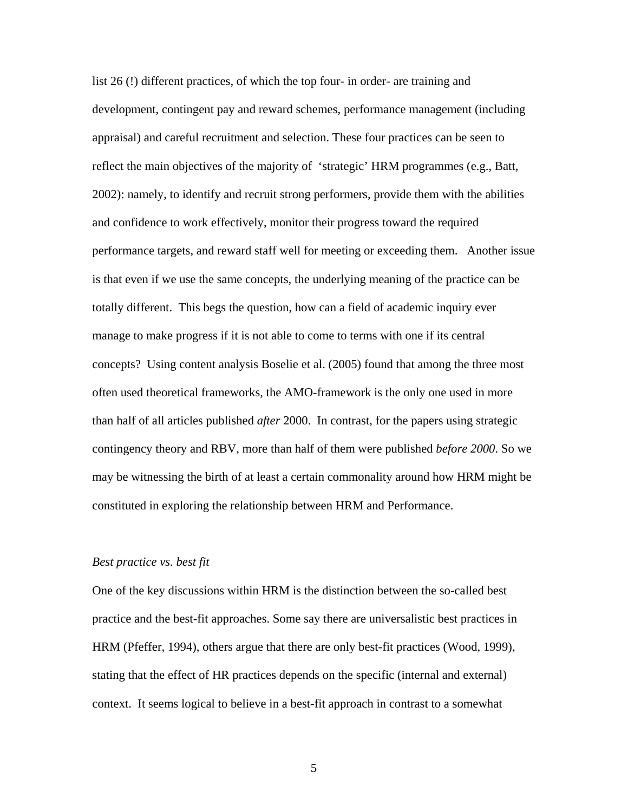list 26 (!) different practices, of which the top four- in order- are training and development, contingent pay and reward schemes, performance management (including appraisal) and careful recruitment and selection. These four practices can be seen to reflect the main objectives of the majority of 'strategic' HRM programmes (e.g., Batt, 2002): namely, to identify and recruit strong performers, provide them with the abilities and confidence to work effectively, monitor their progress toward the required performance targets, and reward staff well for meeting or exceeding them. Another issue is that even if we use the same concepts, the underlying meaning of the practice can be totally different. This begs the question, how can a field of academic inquiry ever manage to make progress if it is not able to come to terms with one if its central concepts? Using content analysis Boselie et al. (2005) found that among the three most often used theoretical frameworks, the AMO-framework is the only one used in more than half of all articles published *after* 2000. In contrast, for the papers using strategic contingency theory and RBV, more than half of them were published *before 2000*. So we may be witnessing the birth of at least a certain commonality around how HRM might be constituted in exploring the relationship between HRM and Performance.

# *Best practice vs. best fit*

One of the key discussions within HRM is the distinction between the so-called best practice and the best-fit approaches. Some say there are universalistic best practices in HRM (Pfeffer, 1994), others argue that there are only best-fit practices (Wood, 1999), stating that the effect of HR practices depends on the specific (internal and external) context. It seems logical to believe in a best-fit approach in contrast to a somewhat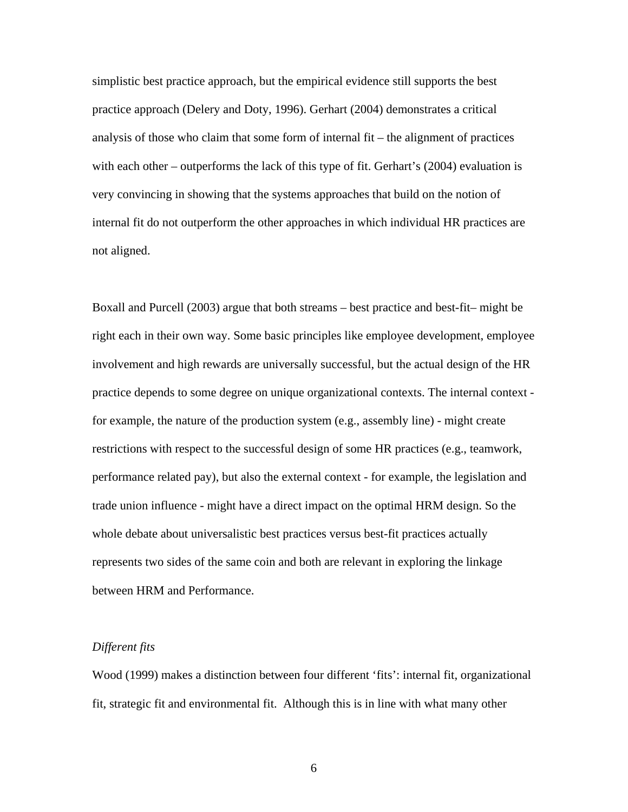simplistic best practice approach, but the empirical evidence still supports the best practice approach (Delery and Doty, 1996). Gerhart (2004) demonstrates a critical analysis of those who claim that some form of internal fit – the alignment of practices with each other – outperforms the lack of this type of fit. Gerhart's (2004) evaluation is very convincing in showing that the systems approaches that build on the notion of internal fit do not outperform the other approaches in which individual HR practices are not aligned.

Boxall and Purcell (2003) argue that both streams – best practice and best-fit– might be right each in their own way. Some basic principles like employee development, employee involvement and high rewards are universally successful, but the actual design of the HR practice depends to some degree on unique organizational contexts. The internal context for example, the nature of the production system (e.g., assembly line) - might create restrictions with respect to the successful design of some HR practices (e.g., teamwork, performance related pay), but also the external context - for example, the legislation and trade union influence - might have a direct impact on the optimal HRM design. So the whole debate about universalistic best practices versus best-fit practices actually represents two sides of the same coin and both are relevant in exploring the linkage between HRM and Performance.

# *Different fits*

Wood (1999) makes a distinction between four different 'fits': internal fit, organizational fit, strategic fit and environmental fit. Although this is in line with what many other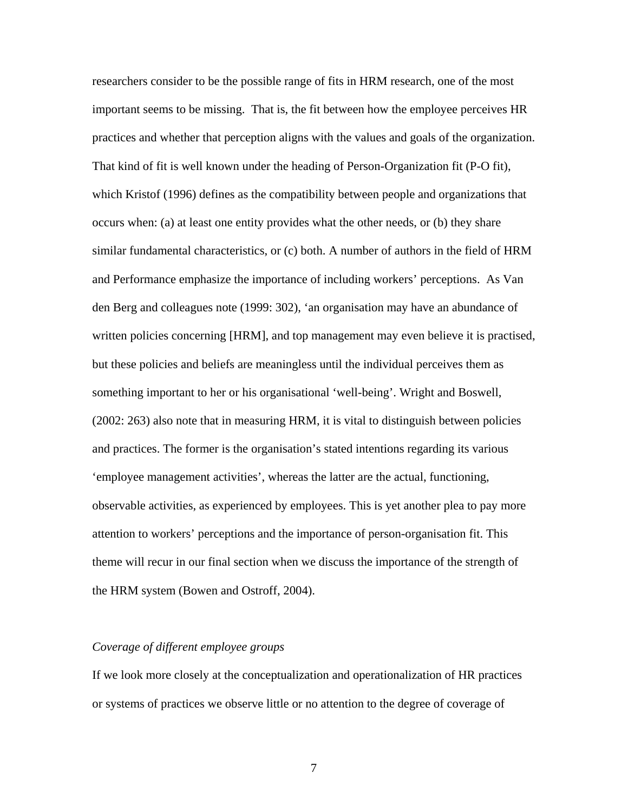researchers consider to be the possible range of fits in HRM research, one of the most important seems to be missing. That is, the fit between how the employee perceives HR practices and whether that perception aligns with the values and goals of the organization. That kind of fit is well known under the heading of Person-Organization fit (P-O fit), which Kristof (1996) defines as the compatibility between people and organizations that occurs when: (a) at least one entity provides what the other needs, or (b) they share similar fundamental characteristics, or (c) both. A number of authors in the field of HRM and Performance emphasize the importance of including workers' perceptions. As Van den Berg and colleagues note (1999: 302), 'an organisation may have an abundance of written policies concerning [HRM], and top management may even believe it is practised, but these policies and beliefs are meaningless until the individual perceives them as something important to her or his organisational 'well-being'. Wright and Boswell, (2002: 263) also note that in measuring HRM, it is vital to distinguish between policies and practices. The former is the organisation's stated intentions regarding its various 'employee management activities', whereas the latter are the actual, functioning, observable activities, as experienced by employees. This is yet another plea to pay more attention to workers' perceptions and the importance of person-organisation fit. This theme will recur in our final section when we discuss the importance of the strength of the HRM system (Bowen and Ostroff, 2004).

# *Coverage of different employee groups*

If we look more closely at the conceptualization and operationalization of HR practices or systems of practices we observe little or no attention to the degree of coverage of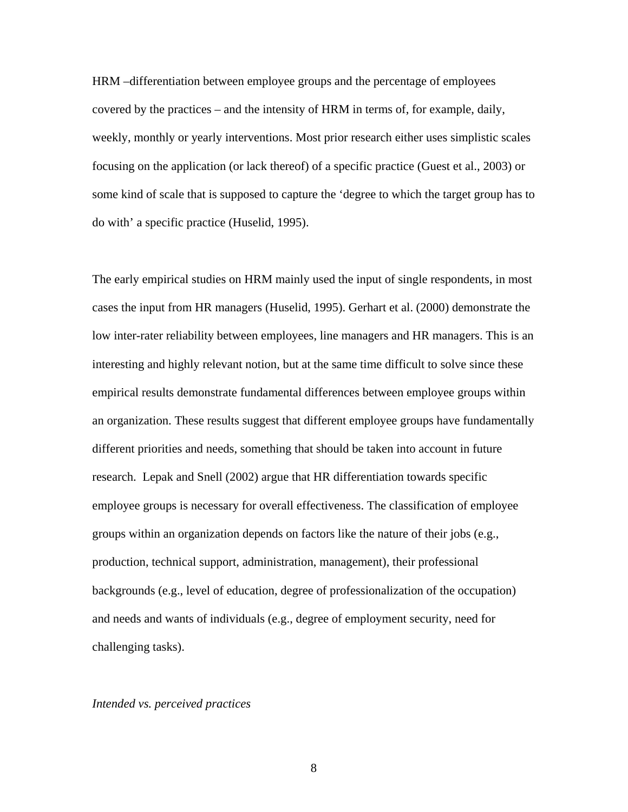HRM –differentiation between employee groups and the percentage of employees covered by the practices – and the intensity of HRM in terms of, for example, daily, weekly, monthly or yearly interventions. Most prior research either uses simplistic scales focusing on the application (or lack thereof) of a specific practice (Guest et al., 2003) or some kind of scale that is supposed to capture the 'degree to which the target group has to do with' a specific practice (Huselid, 1995).

The early empirical studies on HRM mainly used the input of single respondents, in most cases the input from HR managers (Huselid, 1995). Gerhart et al. (2000) demonstrate the low inter-rater reliability between employees, line managers and HR managers. This is an interesting and highly relevant notion, but at the same time difficult to solve since these empirical results demonstrate fundamental differences between employee groups within an organization. These results suggest that different employee groups have fundamentally different priorities and needs, something that should be taken into account in future research. Lepak and Snell (2002) argue that HR differentiation towards specific employee groups is necessary for overall effectiveness. The classification of employee groups within an organization depends on factors like the nature of their jobs (e.g., production, technical support, administration, management), their professional backgrounds (e.g., level of education, degree of professionalization of the occupation) and needs and wants of individuals (e.g., degree of employment security, need for challenging tasks).

#### *Intended vs. perceived practices*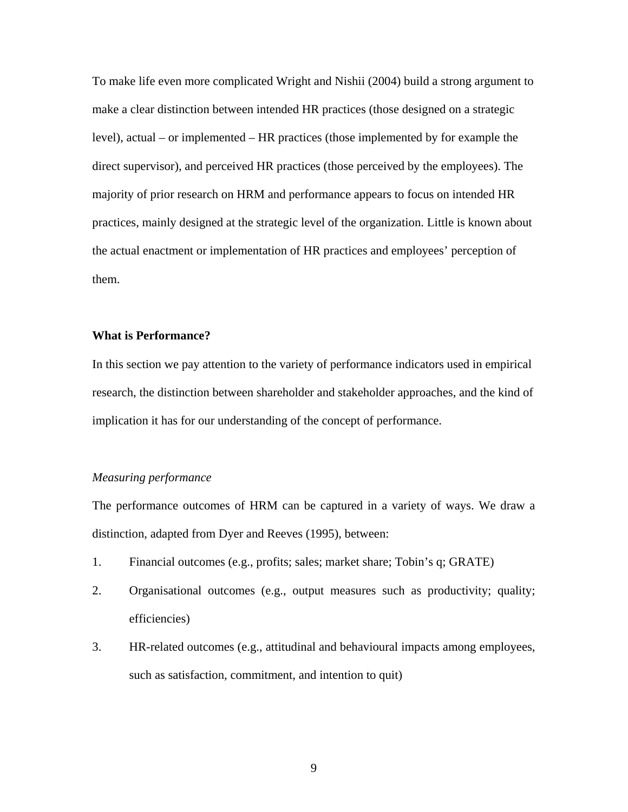To make life even more complicated Wright and Nishii (2004) build a strong argument to make a clear distinction between intended HR practices (those designed on a strategic level), actual – or implemented – HR practices (those implemented by for example the direct supervisor), and perceived HR practices (those perceived by the employees). The majority of prior research on HRM and performance appears to focus on intended HR practices, mainly designed at the strategic level of the organization. Little is known about the actual enactment or implementation of HR practices and employees' perception of them.

# **What is Performance?**

In this section we pay attention to the variety of performance indicators used in empirical research, the distinction between shareholder and stakeholder approaches, and the kind of implication it has for our understanding of the concept of performance.

#### *Measuring performance*

The performance outcomes of HRM can be captured in a variety of ways. We draw a distinction, adapted from Dyer and Reeves (1995), between:

- 1. Financial outcomes (e.g., profits; sales; market share; Tobin's q; GRATE)
- 2. Organisational outcomes (e.g., output measures such as productivity; quality; efficiencies)
- 3. HR-related outcomes (e.g., attitudinal and behavioural impacts among employees, such as satisfaction, commitment, and intention to quit)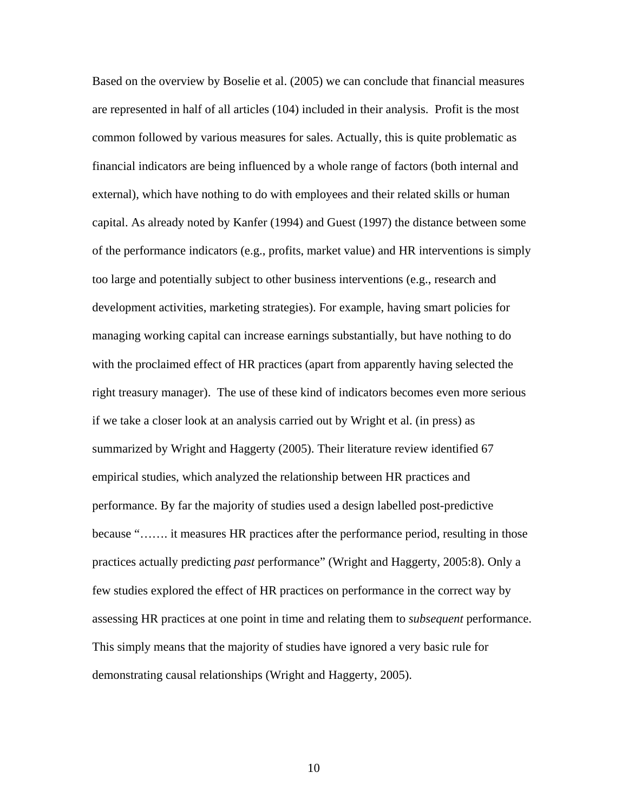Based on the overview by Boselie et al. (2005) we can conclude that financial measures are represented in half of all articles (104) included in their analysis. Profit is the most common followed by various measures for sales. Actually, this is quite problematic as financial indicators are being influenced by a whole range of factors (both internal and external), which have nothing to do with employees and their related skills or human capital. As already noted by Kanfer (1994) and Guest (1997) the distance between some of the performance indicators (e.g., profits, market value) and HR interventions is simply too large and potentially subject to other business interventions (e.g., research and development activities, marketing strategies). For example, having smart policies for managing working capital can increase earnings substantially, but have nothing to do with the proclaimed effect of HR practices (apart from apparently having selected the right treasury manager). The use of these kind of indicators becomes even more serious if we take a closer look at an analysis carried out by Wright et al. (in press) as summarized by Wright and Haggerty (2005). Their literature review identified 67 empirical studies, which analyzed the relationship between HR practices and performance. By far the majority of studies used a design labelled post-predictive because "……. it measures HR practices after the performance period, resulting in those practices actually predicting *past* performance" (Wright and Haggerty, 2005:8). Only a few studies explored the effect of HR practices on performance in the correct way by assessing HR practices at one point in time and relating them to *subsequent* performance. This simply means that the majority of studies have ignored a very basic rule for demonstrating causal relationships (Wright and Haggerty, 2005).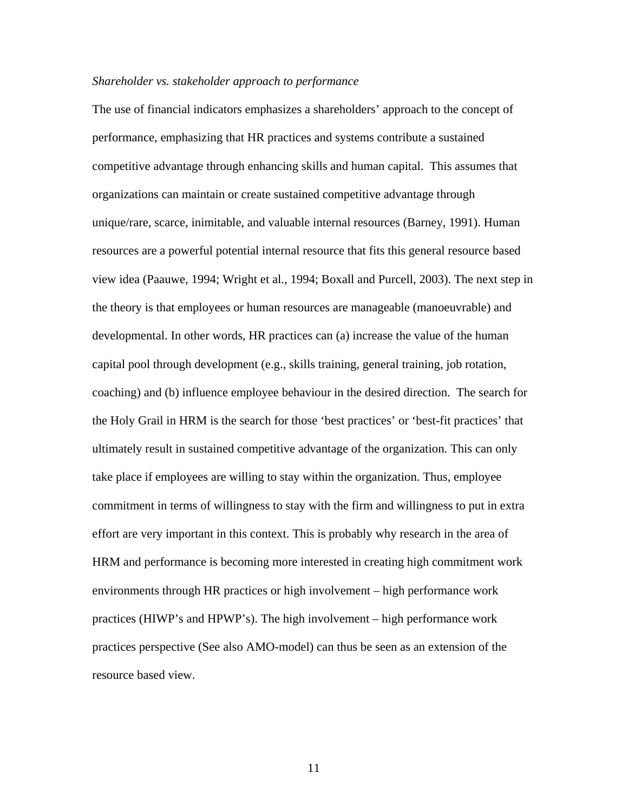# *Shareholder vs. stakeholder approach to performance*

The use of financial indicators emphasizes a shareholders' approach to the concept of performance, emphasizing that HR practices and systems contribute a sustained competitive advantage through enhancing skills and human capital. This assumes that organizations can maintain or create sustained competitive advantage through unique/rare, scarce, inimitable, and valuable internal resources (Barney, 1991). Human resources are a powerful potential internal resource that fits this general resource based view idea (Paauwe, 1994; Wright et al., 1994; Boxall and Purcell, 2003). The next step in the theory is that employees or human resources are manageable (manoeuvrable) and developmental. In other words, HR practices can (a) increase the value of the human capital pool through development (e.g., skills training, general training, job rotation, coaching) and (b) influence employee behaviour in the desired direction. The search for the Holy Grail in HRM is the search for those 'best practices' or 'best-fit practices' that ultimately result in sustained competitive advantage of the organization. This can only take place if employees are willing to stay within the organization. Thus, employee commitment in terms of willingness to stay with the firm and willingness to put in extra effort are very important in this context. This is probably why research in the area of HRM and performance is becoming more interested in creating high commitment work environments through HR practices or high involvement – high performance work practices (HIWP's and HPWP's). The high involvement – high performance work practices perspective (See also AMO-model) can thus be seen as an extension of the resource based view.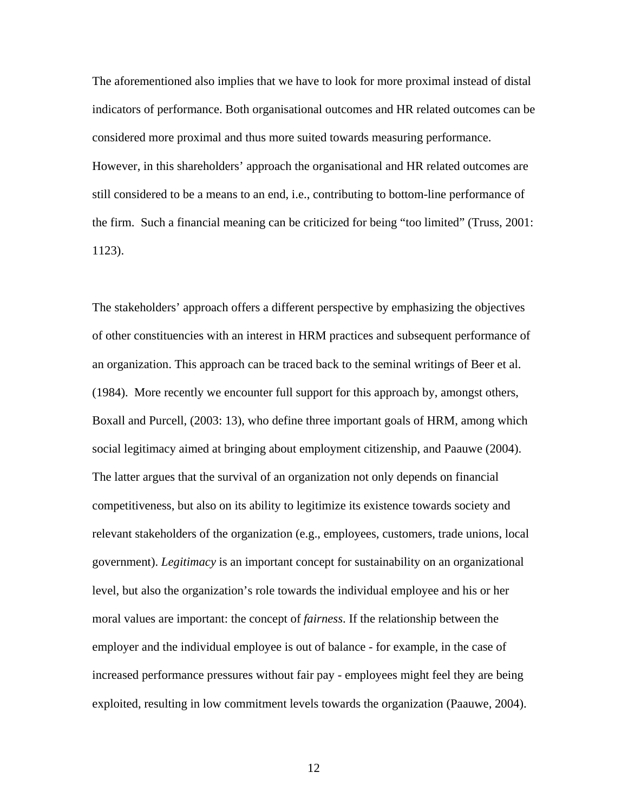The aforementioned also implies that we have to look for more proximal instead of distal indicators of performance. Both organisational outcomes and HR related outcomes can be considered more proximal and thus more suited towards measuring performance. However, in this shareholders' approach the organisational and HR related outcomes are still considered to be a means to an end, i.e., contributing to bottom-line performance of the firm. Such a financial meaning can be criticized for being "too limited" (Truss, 2001: 1123).

The stakeholders' approach offers a different perspective by emphasizing the objectives of other constituencies with an interest in HRM practices and subsequent performance of an organization. This approach can be traced back to the seminal writings of Beer et al. (1984). More recently we encounter full support for this approach by, amongst others, Boxall and Purcell, (2003: 13), who define three important goals of HRM, among which social legitimacy aimed at bringing about employment citizenship, and Paauwe (2004). The latter argues that the survival of an organization not only depends on financial competitiveness, but also on its ability to legitimize its existence towards society and relevant stakeholders of the organization (e.g., employees, customers, trade unions, local government). *Legitimacy* is an important concept for sustainability on an organizational level, but also the organization's role towards the individual employee and his or her moral values are important: the concept of *fairness*. If the relationship between the employer and the individual employee is out of balance - for example, in the case of increased performance pressures without fair pay - employees might feel they are being exploited, resulting in low commitment levels towards the organization (Paauwe, 2004).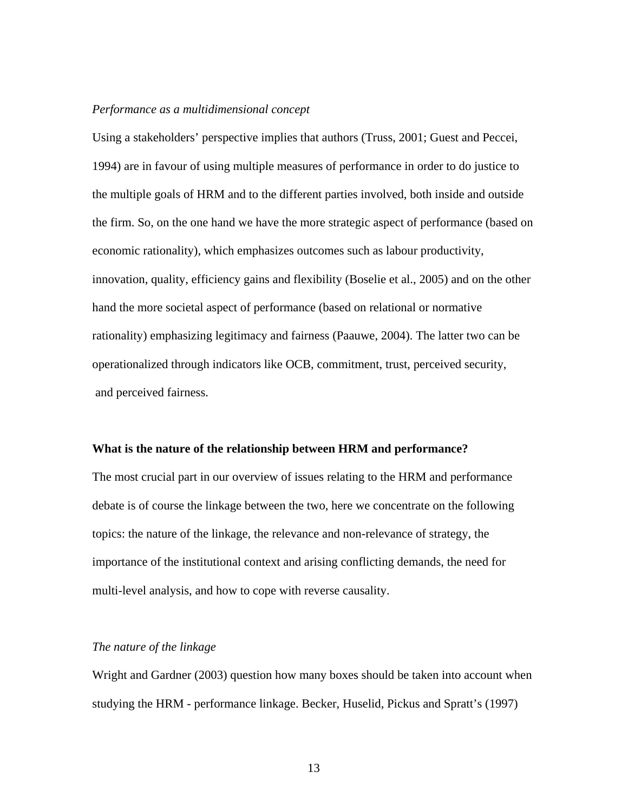#### *Performance as a multidimensional concept*

Using a stakeholders' perspective implies that authors (Truss, 2001; Guest and Peccei, 1994) are in favour of using multiple measures of performance in order to do justice to the multiple goals of HRM and to the different parties involved, both inside and outside the firm. So, on the one hand we have the more strategic aspect of performance (based on economic rationality), which emphasizes outcomes such as labour productivity, innovation, quality, efficiency gains and flexibility (Boselie et al., 2005) and on the other hand the more societal aspect of performance (based on relational or normative rationality) emphasizing legitimacy and fairness (Paauwe, 2004). The latter two can be operationalized through indicators like OCB, commitment, trust, perceived security, and perceived fairness.

#### **What is the nature of the relationship between HRM and performance?**

The most crucial part in our overview of issues relating to the HRM and performance debate is of course the linkage between the two, here we concentrate on the following topics: the nature of the linkage, the relevance and non-relevance of strategy, the importance of the institutional context and arising conflicting demands, the need for multi-level analysis, and how to cope with reverse causality.

# *The nature of the linkage*

Wright and Gardner (2003) question how many boxes should be taken into account when studying the HRM - performance linkage. Becker, Huselid, Pickus and Spratt's (1997)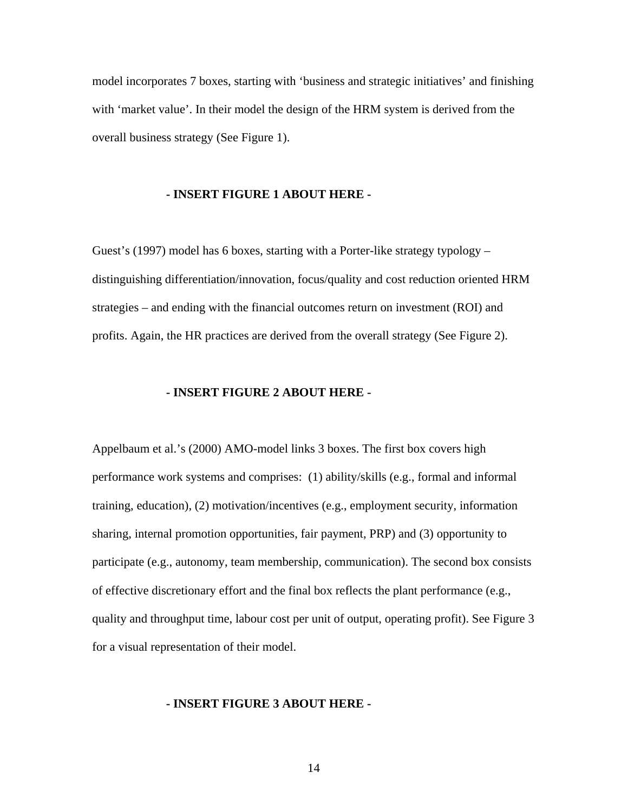model incorporates 7 boxes, starting with 'business and strategic initiatives' and finishing with 'market value'. In their model the design of the HRM system is derived from the overall business strategy (See Figure 1).

# **- INSERT FIGURE 1 ABOUT HERE -**

Guest's (1997) model has 6 boxes, starting with a Porter-like strategy typology – distinguishing differentiation/innovation, focus/quality and cost reduction oriented HRM strategies – and ending with the financial outcomes return on investment (ROI) and profits. Again, the HR practices are derived from the overall strategy (See Figure 2).

#### **- INSERT FIGURE 2 ABOUT HERE -**

Appelbaum et al.'s (2000) AMO-model links 3 boxes. The first box covers high performance work systems and comprises: (1) ability/skills (e.g., formal and informal training, education), (2) motivation/incentives (e.g., employment security, information sharing, internal promotion opportunities, fair payment, PRP) and (3) opportunity to participate (e.g., autonomy, team membership, communication). The second box consists of effective discretionary effort and the final box reflects the plant performance (e.g., quality and throughput time, labour cost per unit of output, operating profit). See Figure 3 for a visual representation of their model.

#### **- INSERT FIGURE 3 ABOUT HERE -**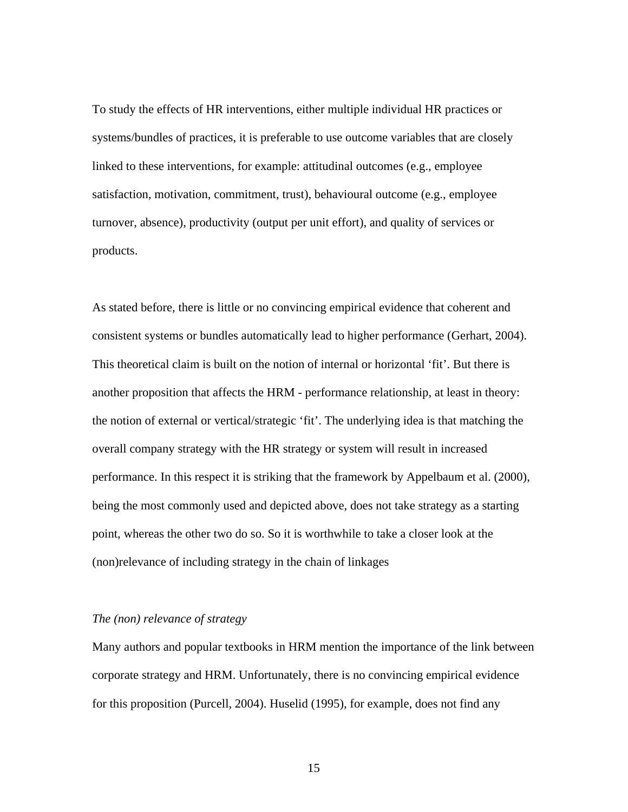To study the effects of HR interventions, either multiple individual HR practices or systems/bundles of practices, it is preferable to use outcome variables that are closely linked to these interventions, for example: attitudinal outcomes (e.g., employee satisfaction, motivation, commitment, trust), behavioural outcome (e.g., employee turnover, absence), productivity (output per unit effort), and quality of services or products.

As stated before, there is little or no convincing empirical evidence that coherent and consistent systems or bundles automatically lead to higher performance (Gerhart, 2004). This theoretical claim is built on the notion of internal or horizontal 'fit'. But there is another proposition that affects the HRM - performance relationship, at least in theory: the notion of external or vertical/strategic 'fit'. The underlying idea is that matching the overall company strategy with the HR strategy or system will result in increased performance. In this respect it is striking that the framework by Appelbaum et al. (2000), being the most commonly used and depicted above, does not take strategy as a starting point, whereas the other two do so. So it is worthwhile to take a closer look at the (non)relevance of including strategy in the chain of linkages

## *The (non) relevance of strategy*

Many authors and popular textbooks in HRM mention the importance of the link between corporate strategy and HRM. Unfortunately, there is no convincing empirical evidence for this proposition (Purcell, 2004). Huselid (1995), for example, does not find any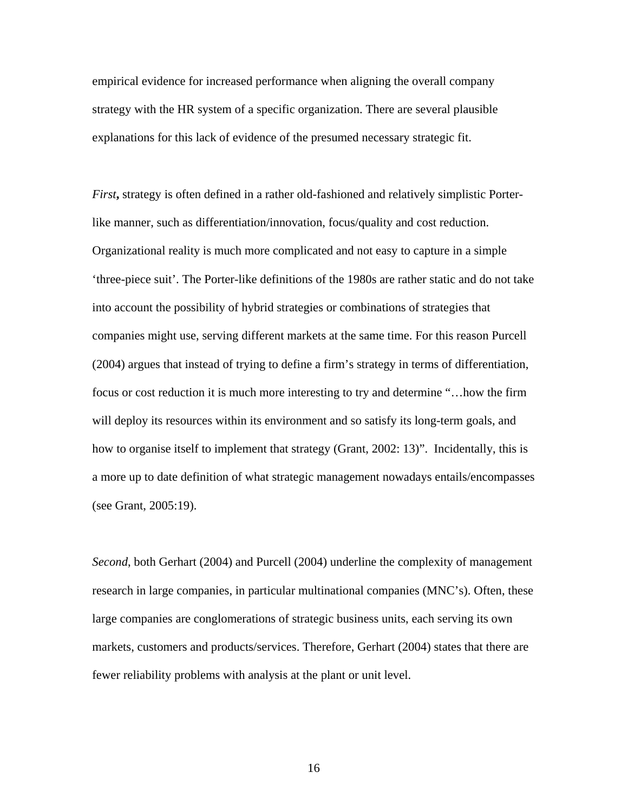empirical evidence for increased performance when aligning the overall company strategy with the HR system of a specific organization. There are several plausible explanations for this lack of evidence of the presumed necessary strategic fit.

*First***,** strategy is often defined in a rather old-fashioned and relatively simplistic Porterlike manner, such as differentiation/innovation, focus/quality and cost reduction. Organizational reality is much more complicated and not easy to capture in a simple 'three-piece suit'. The Porter-like definitions of the 1980s are rather static and do not take into account the possibility of hybrid strategies or combinations of strategies that companies might use, serving different markets at the same time. For this reason Purcell (2004) argues that instead of trying to define a firm's strategy in terms of differentiation, focus or cost reduction it is much more interesting to try and determine "…how the firm will deploy its resources within its environment and so satisfy its long-term goals, and how to organise itself to implement that strategy (Grant, 2002: 13)". Incidentally, this is a more up to date definition of what strategic management nowadays entails/encompasses (see Grant, 2005:19).

*Second*, both Gerhart (2004) and Purcell (2004) underline the complexity of management research in large companies, in particular multinational companies (MNC's). Often, these large companies are conglomerations of strategic business units, each serving its own markets, customers and products/services. Therefore, Gerhart (2004) states that there are fewer reliability problems with analysis at the plant or unit level.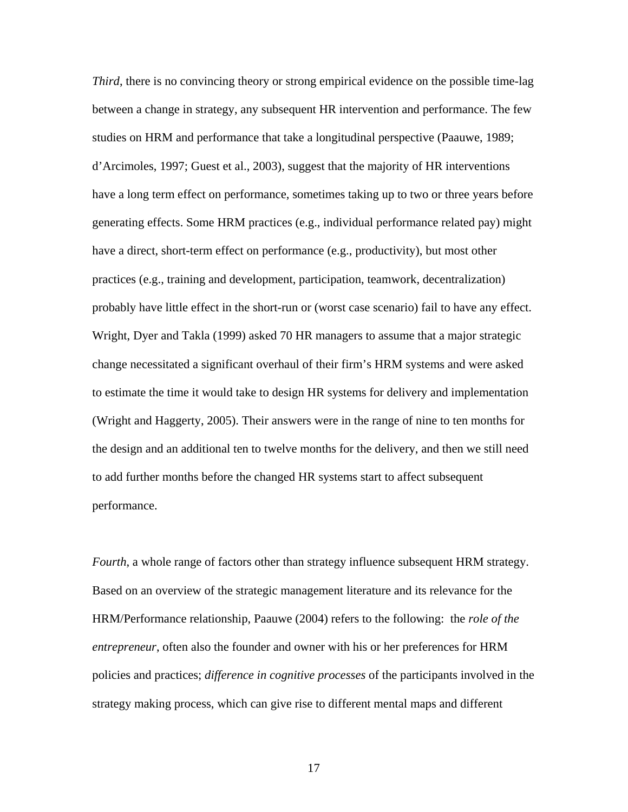*Third*, there is no convincing theory or strong empirical evidence on the possible time-lag between a change in strategy, any subsequent HR intervention and performance. The few studies on HRM and performance that take a longitudinal perspective (Paauwe, 1989; d'Arcimoles, 1997; Guest et al., 2003), suggest that the majority of HR interventions have a long term effect on performance, sometimes taking up to two or three years before generating effects. Some HRM practices (e.g., individual performance related pay) might have a direct, short-term effect on performance (e.g., productivity), but most other practices (e.g., training and development, participation, teamwork, decentralization) probably have little effect in the short-run or (worst case scenario) fail to have any effect. Wright, Dyer and Takla (1999) asked 70 HR managers to assume that a major strategic change necessitated a significant overhaul of their firm's HRM systems and were asked to estimate the time it would take to design HR systems for delivery and implementation (Wright and Haggerty, 2005). Their answers were in the range of nine to ten months for the design and an additional ten to twelve months for the delivery, and then we still need to add further months before the changed HR systems start to affect subsequent performance.

*Fourth*, a whole range of factors other than strategy influence subsequent HRM strategy. Based on an overview of the strategic management literature and its relevance for the HRM/Performance relationship, Paauwe (2004) refers to the following: the *role of the entrepreneur*, often also the founder and owner with his or her preferences for HRM policies and practices; *difference in cognitive processes* of the participants involved in the strategy making process, which can give rise to different mental maps and different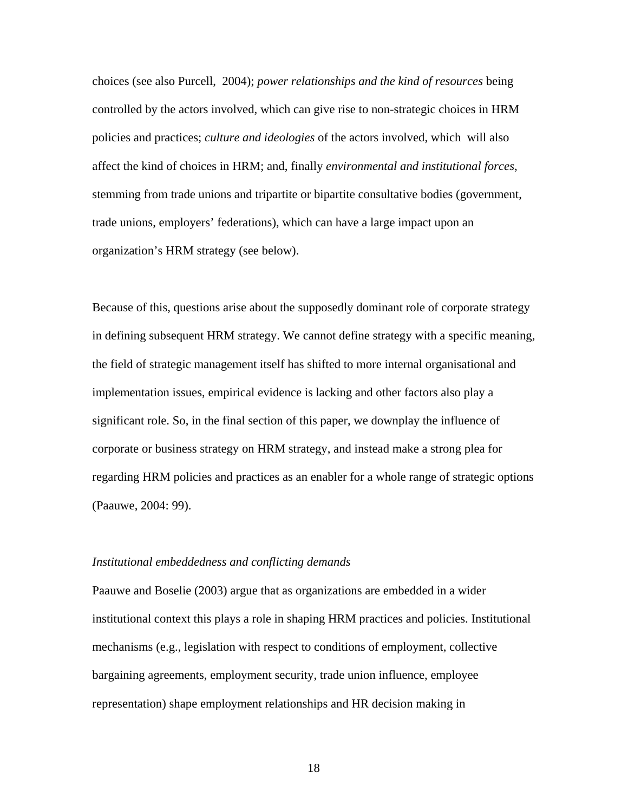choices (see also Purcell, 2004); *power relationships and the kind of resources* being controlled by the actors involved, which can give rise to non-strategic choices in HRM policies and practices; *culture and ideologies* of the actors involved, which will also affect the kind of choices in HRM; and, finally *environmental and institutional forces*, stemming from trade unions and tripartite or bipartite consultative bodies (government, trade unions, employers' federations), which can have a large impact upon an organization's HRM strategy (see below).

Because of this, questions arise about the supposedly dominant role of corporate strategy in defining subsequent HRM strategy. We cannot define strategy with a specific meaning, the field of strategic management itself has shifted to more internal organisational and implementation issues, empirical evidence is lacking and other factors also play a significant role. So, in the final section of this paper, we downplay the influence of corporate or business strategy on HRM strategy, and instead make a strong plea for regarding HRM policies and practices as an enabler for a whole range of strategic options (Paauwe, 2004: 99).

#### *Institutional embeddedness and conflicting demands*

Paauwe and Boselie (2003) argue that as organizations are embedded in a wider institutional context this plays a role in shaping HRM practices and policies. Institutional mechanisms (e.g., legislation with respect to conditions of employment, collective bargaining agreements, employment security, trade union influence, employee representation) shape employment relationships and HR decision making in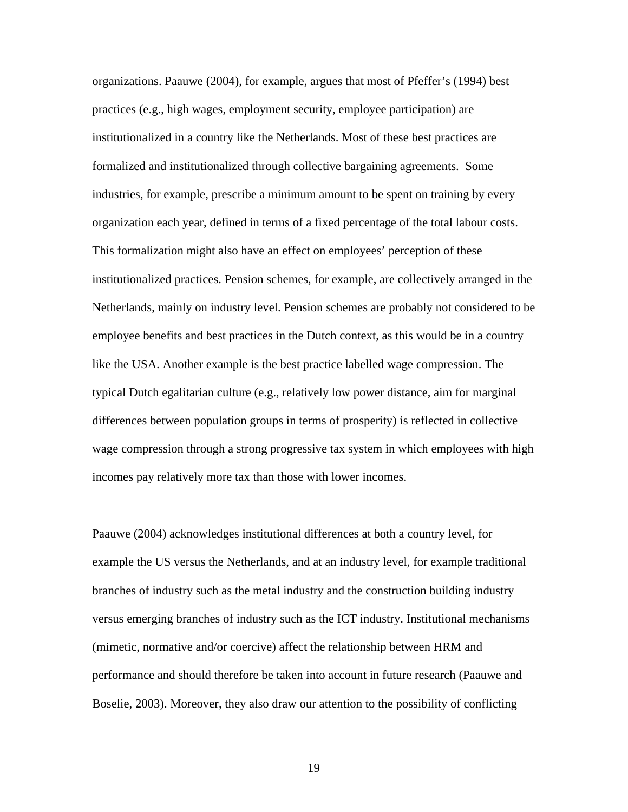organizations. Paauwe (2004), for example, argues that most of Pfeffer's (1994) best practices (e.g., high wages, employment security, employee participation) are institutionalized in a country like the Netherlands. Most of these best practices are formalized and institutionalized through collective bargaining agreements. Some industries, for example, prescribe a minimum amount to be spent on training by every organization each year, defined in terms of a fixed percentage of the total labour costs. This formalization might also have an effect on employees' perception of these institutionalized practices. Pension schemes, for example, are collectively arranged in the Netherlands, mainly on industry level. Pension schemes are probably not considered to be employee benefits and best practices in the Dutch context, as this would be in a country like the USA. Another example is the best practice labelled wage compression. The typical Dutch egalitarian culture (e.g., relatively low power distance, aim for marginal differences between population groups in terms of prosperity) is reflected in collective wage compression through a strong progressive tax system in which employees with high incomes pay relatively more tax than those with lower incomes.

Paauwe (2004) acknowledges institutional differences at both a country level, for example the US versus the Netherlands, and at an industry level, for example traditional branches of industry such as the metal industry and the construction building industry versus emerging branches of industry such as the ICT industry. Institutional mechanisms (mimetic, normative and/or coercive) affect the relationship between HRM and performance and should therefore be taken into account in future research (Paauwe and Boselie, 2003). Moreover, they also draw our attention to the possibility of conflicting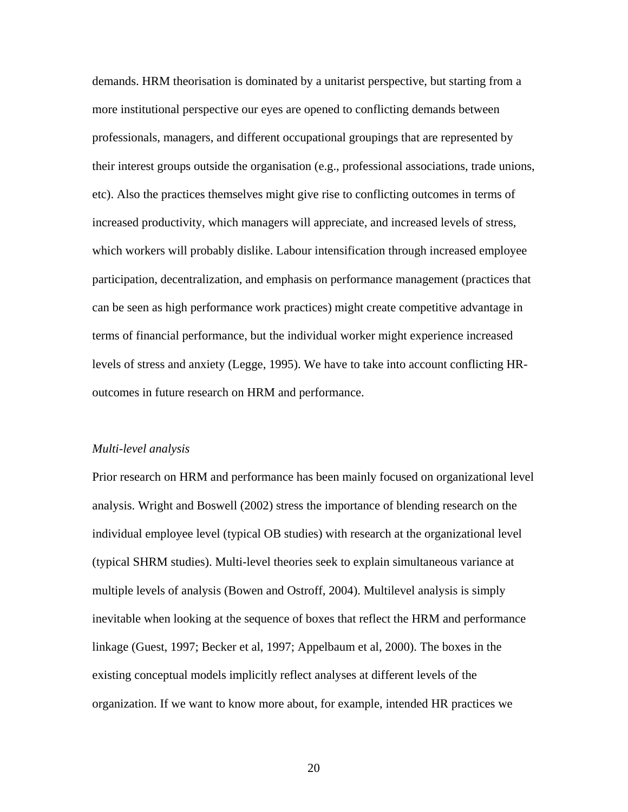demands. HRM theorisation is dominated by a unitarist perspective, but starting from a more institutional perspective our eyes are opened to conflicting demands between professionals, managers, and different occupational groupings that are represented by their interest groups outside the organisation (e.g., professional associations, trade unions, etc). Also the practices themselves might give rise to conflicting outcomes in terms of increased productivity, which managers will appreciate, and increased levels of stress, which workers will probably dislike. Labour intensification through increased employee participation, decentralization, and emphasis on performance management (practices that can be seen as high performance work practices) might create competitive advantage in terms of financial performance, but the individual worker might experience increased levels of stress and anxiety (Legge, 1995). We have to take into account conflicting HRoutcomes in future research on HRM and performance.

#### *Multi-level analysis*

Prior research on HRM and performance has been mainly focused on organizational level analysis. Wright and Boswell (2002) stress the importance of blending research on the individual employee level (typical OB studies) with research at the organizational level (typical SHRM studies). Multi-level theories seek to explain simultaneous variance at multiple levels of analysis (Bowen and Ostroff, 2004). Multilevel analysis is simply inevitable when looking at the sequence of boxes that reflect the HRM and performance linkage (Guest, 1997; Becker et al, 1997; Appelbaum et al, 2000). The boxes in the existing conceptual models implicitly reflect analyses at different levels of the organization. If we want to know more about, for example, intended HR practices we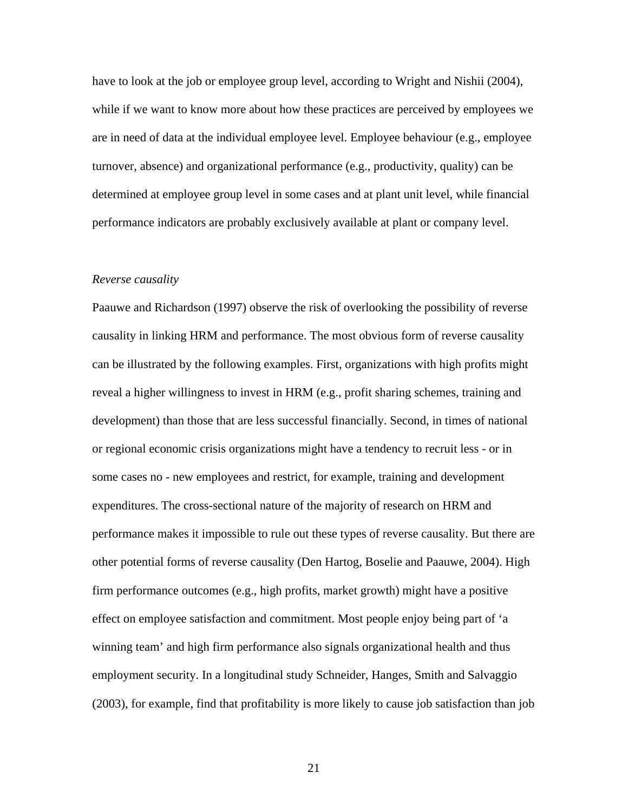have to look at the job or employee group level, according to Wright and Nishii (2004), while if we want to know more about how these practices are perceived by employees we are in need of data at the individual employee level. Employee behaviour (e.g., employee turnover, absence) and organizational performance (e.g., productivity, quality) can be determined at employee group level in some cases and at plant unit level, while financial performance indicators are probably exclusively available at plant or company level.

#### *Reverse causality*

Paauwe and Richardson (1997) observe the risk of overlooking the possibility of reverse causality in linking HRM and performance. The most obvious form of reverse causality can be illustrated by the following examples. First, organizations with high profits might reveal a higher willingness to invest in HRM (e.g., profit sharing schemes, training and development) than those that are less successful financially. Second, in times of national or regional economic crisis organizations might have a tendency to recruit less - or in some cases no - new employees and restrict, for example, training and development expenditures. The cross-sectional nature of the majority of research on HRM and performance makes it impossible to rule out these types of reverse causality. But there are other potential forms of reverse causality (Den Hartog, Boselie and Paauwe, 2004). High firm performance outcomes (e.g., high profits, market growth) might have a positive effect on employee satisfaction and commitment. Most people enjoy being part of 'a winning team' and high firm performance also signals organizational health and thus employment security. In a longitudinal study Schneider, Hanges, Smith and Salvaggio (2003), for example, find that profitability is more likely to cause job satisfaction than job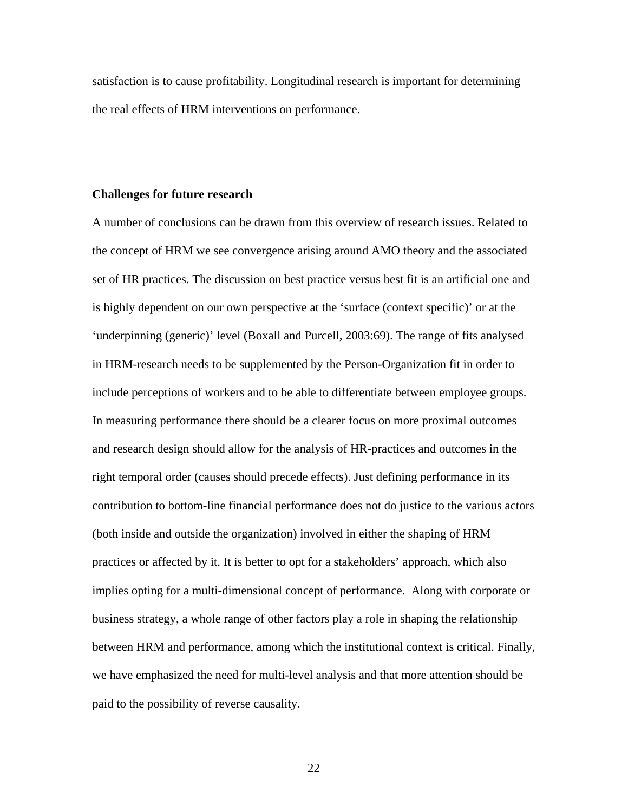satisfaction is to cause profitability. Longitudinal research is important for determining the real effects of HRM interventions on performance.

#### **Challenges for future research**

A number of conclusions can be drawn from this overview of research issues. Related to the concept of HRM we see convergence arising around AMO theory and the associated set of HR practices. The discussion on best practice versus best fit is an artificial one and is highly dependent on our own perspective at the 'surface (context specific)' or at the 'underpinning (generic)' level (Boxall and Purcell, 2003:69). The range of fits analysed in HRM-research needs to be supplemented by the Person-Organization fit in order to include perceptions of workers and to be able to differentiate between employee groups. In measuring performance there should be a clearer focus on more proximal outcomes and research design should allow for the analysis of HR-practices and outcomes in the right temporal order (causes should precede effects). Just defining performance in its contribution to bottom-line financial performance does not do justice to the various actors (both inside and outside the organization) involved in either the shaping of HRM practices or affected by it. It is better to opt for a stakeholders' approach, which also implies opting for a multi-dimensional concept of performance. Along with corporate or business strategy, a whole range of other factors play a role in shaping the relationship between HRM and performance, among which the institutional context is critical. Finally, we have emphasized the need for multi-level analysis and that more attention should be paid to the possibility of reverse causality.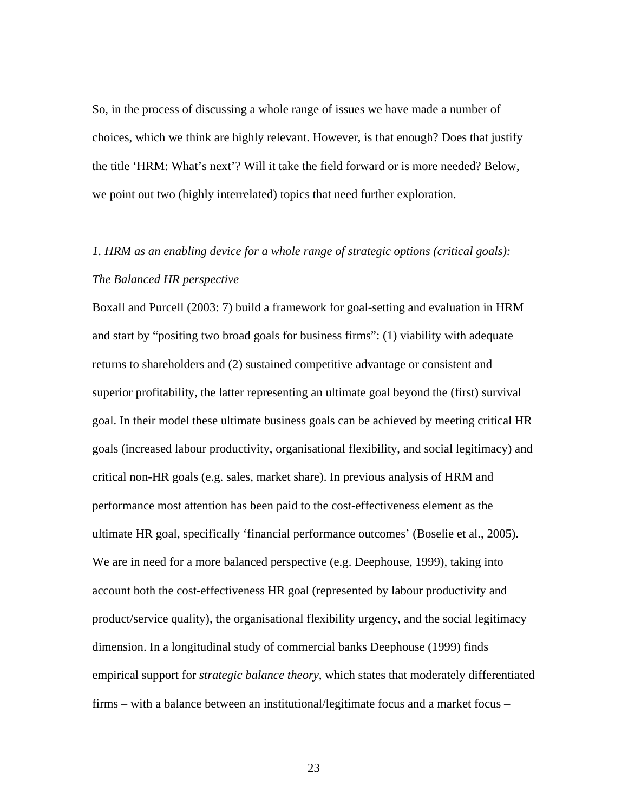So, in the process of discussing a whole range of issues we have made a number of choices, which we think are highly relevant. However, is that enough? Does that justify the title 'HRM: What's next'? Will it take the field forward or is more needed? Below, we point out two (highly interrelated) topics that need further exploration.

# *1. HRM as an enabling device for a whole range of strategic options (critical goals): The Balanced HR perspective*

Boxall and Purcell (2003: 7) build a framework for goal-setting and evaluation in HRM and start by "positing two broad goals for business firms": (1) viability with adequate returns to shareholders and (2) sustained competitive advantage or consistent and superior profitability, the latter representing an ultimate goal beyond the (first) survival goal. In their model these ultimate business goals can be achieved by meeting critical HR goals (increased labour productivity, organisational flexibility, and social legitimacy) and critical non-HR goals (e.g. sales, market share). In previous analysis of HRM and performance most attention has been paid to the cost-effectiveness element as the ultimate HR goal, specifically 'financial performance outcomes' (Boselie et al., 2005). We are in need for a more balanced perspective (e.g. Deephouse, 1999), taking into account both the cost-effectiveness HR goal (represented by labour productivity and product/service quality), the organisational flexibility urgency, and the social legitimacy dimension. In a longitudinal study of commercial banks Deephouse (1999) finds empirical support for *strategic balance theory*, which states that moderately differentiated firms – with a balance between an institutional/legitimate focus and a market focus –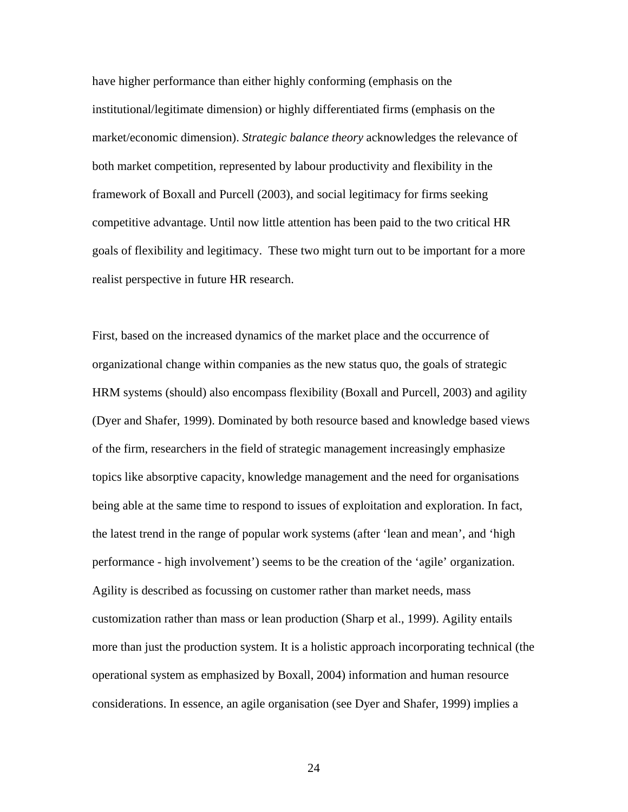have higher performance than either highly conforming (emphasis on the institutional/legitimate dimension) or highly differentiated firms (emphasis on the market/economic dimension). *Strategic balance theory* acknowledges the relevance of both market competition, represented by labour productivity and flexibility in the framework of Boxall and Purcell (2003), and social legitimacy for firms seeking competitive advantage. Until now little attention has been paid to the two critical HR goals of flexibility and legitimacy. These two might turn out to be important for a more realist perspective in future HR research.

First, based on the increased dynamics of the market place and the occurrence of organizational change within companies as the new status quo, the goals of strategic HRM systems (should) also encompass flexibility (Boxall and Purcell, 2003) and agility (Dyer and Shafer, 1999). Dominated by both resource based and knowledge based views of the firm, researchers in the field of strategic management increasingly emphasize topics like absorptive capacity, knowledge management and the need for organisations being able at the same time to respond to issues of exploitation and exploration. In fact, the latest trend in the range of popular work systems (after 'lean and mean', and 'high performance - high involvement') seems to be the creation of the 'agile' organization. Agility is described as focussing on customer rather than market needs, mass customization rather than mass or lean production (Sharp et al., 1999). Agility entails more than just the production system. It is a holistic approach incorporating technical (the operational system as emphasized by Boxall, 2004) information and human resource considerations. In essence, an agile organisation (see Dyer and Shafer, 1999) implies a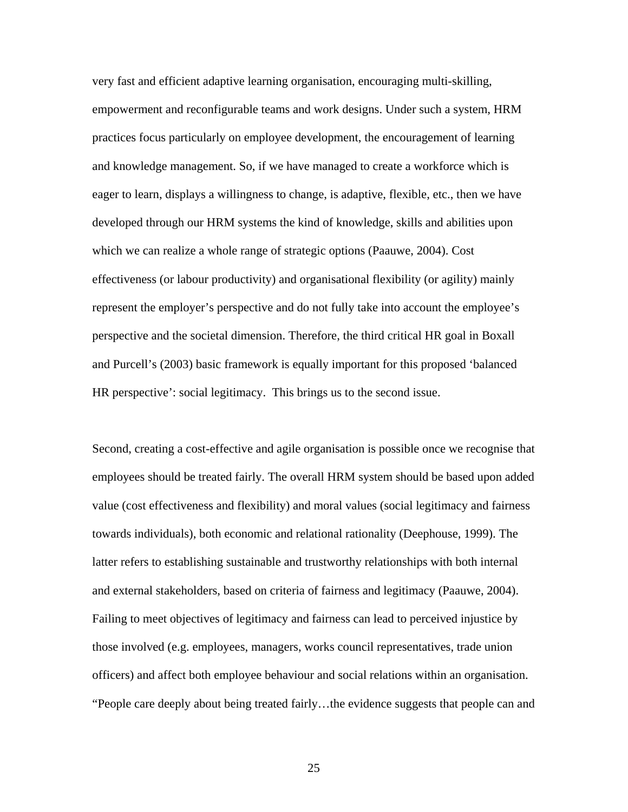very fast and efficient adaptive learning organisation, encouraging multi-skilling, empowerment and reconfigurable teams and work designs. Under such a system, HRM practices focus particularly on employee development, the encouragement of learning and knowledge management. So, if we have managed to create a workforce which is eager to learn, displays a willingness to change, is adaptive, flexible, etc., then we have developed through our HRM systems the kind of knowledge, skills and abilities upon which we can realize a whole range of strategic options (Paauwe, 2004). Cost effectiveness (or labour productivity) and organisational flexibility (or agility) mainly represent the employer's perspective and do not fully take into account the employee's perspective and the societal dimension. Therefore, the third critical HR goal in Boxall and Purcell's (2003) basic framework is equally important for this proposed 'balanced HR perspective': social legitimacy. This brings us to the second issue.

Second, creating a cost-effective and agile organisation is possible once we recognise that employees should be treated fairly. The overall HRM system should be based upon added value (cost effectiveness and flexibility) and moral values (social legitimacy and fairness towards individuals), both economic and relational rationality (Deephouse, 1999). The latter refers to establishing sustainable and trustworthy relationships with both internal and external stakeholders, based on criteria of fairness and legitimacy (Paauwe, 2004). Failing to meet objectives of legitimacy and fairness can lead to perceived injustice by those involved (e.g. employees, managers, works council representatives, trade union officers) and affect both employee behaviour and social relations within an organisation. "People care deeply about being treated fairly…the evidence suggests that people can and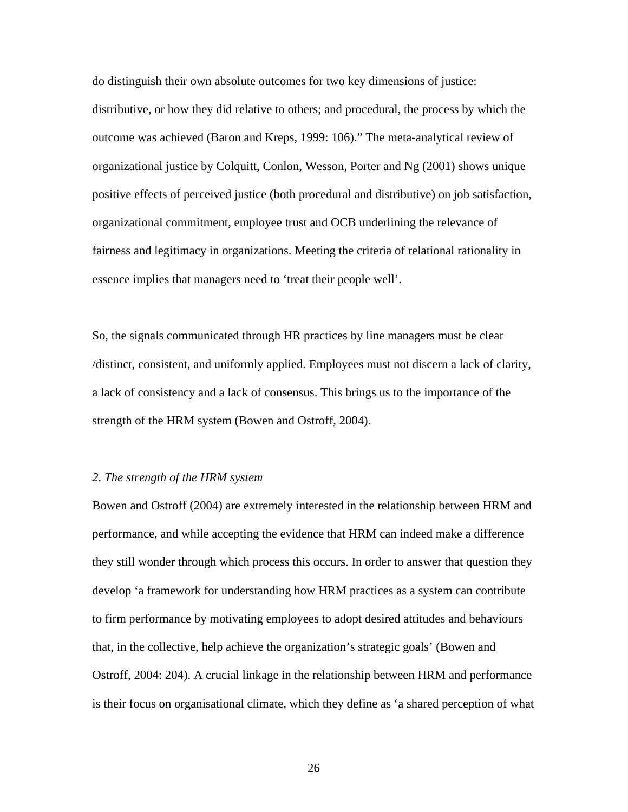do distinguish their own absolute outcomes for two key dimensions of justice: distributive, or how they did relative to others; and procedural, the process by which the outcome was achieved (Baron and Kreps, 1999: 106)." The meta-analytical review of organizational justice by Colquitt, Conlon, Wesson, Porter and Ng (2001) shows unique positive effects of perceived justice (both procedural and distributive) on job satisfaction, organizational commitment, employee trust and OCB underlining the relevance of fairness and legitimacy in organizations. Meeting the criteria of relational rationality in essence implies that managers need to 'treat their people well'.

So, the signals communicated through HR practices by line managers must be clear /distinct, consistent, and uniformly applied. Employees must not discern a lack of clarity, a lack of consistency and a lack of consensus. This brings us to the importance of the strength of the HRM system (Bowen and Ostroff, 2004).

#### *2. The strength of the HRM system*

Bowen and Ostroff (2004) are extremely interested in the relationship between HRM and performance, and while accepting the evidence that HRM can indeed make a difference they still wonder through which process this occurs. In order to answer that question they develop 'a framework for understanding how HRM practices as a system can contribute to firm performance by motivating employees to adopt desired attitudes and behaviours that, in the collective, help achieve the organization's strategic goals' (Bowen and Ostroff, 2004: 204). A crucial linkage in the relationship between HRM and performance is their focus on organisational climate, which they define as 'a shared perception of what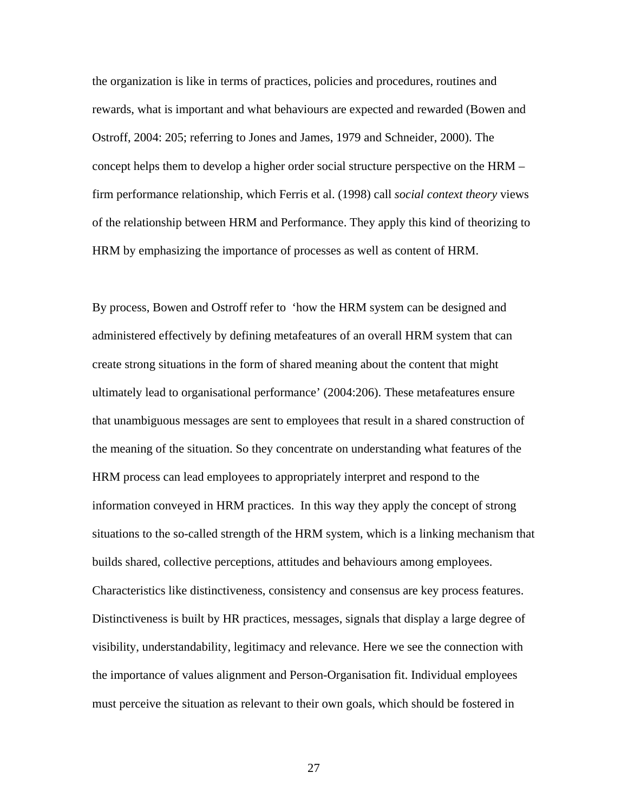the organization is like in terms of practices, policies and procedures, routines and rewards, what is important and what behaviours are expected and rewarded (Bowen and Ostroff, 2004: 205; referring to Jones and James, 1979 and Schneider, 2000). The concept helps them to develop a higher order social structure perspective on the HRM – firm performance relationship, which Ferris et al. (1998) call *social context theory* views of the relationship between HRM and Performance. They apply this kind of theorizing to HRM by emphasizing the importance of processes as well as content of HRM.

By process, Bowen and Ostroff refer to 'how the HRM system can be designed and administered effectively by defining metafeatures of an overall HRM system that can create strong situations in the form of shared meaning about the content that might ultimately lead to organisational performance' (2004:206). These metafeatures ensure that unambiguous messages are sent to employees that result in a shared construction of the meaning of the situation. So they concentrate on understanding what features of the HRM process can lead employees to appropriately interpret and respond to the information conveyed in HRM practices. In this way they apply the concept of strong situations to the so-called strength of the HRM system, which is a linking mechanism that builds shared, collective perceptions, attitudes and behaviours among employees. Characteristics like distinctiveness, consistency and consensus are key process features. Distinctiveness is built by HR practices, messages, signals that display a large degree of visibility, understandability, legitimacy and relevance. Here we see the connection with the importance of values alignment and Person-Organisation fit. Individual employees must perceive the situation as relevant to their own goals, which should be fostered in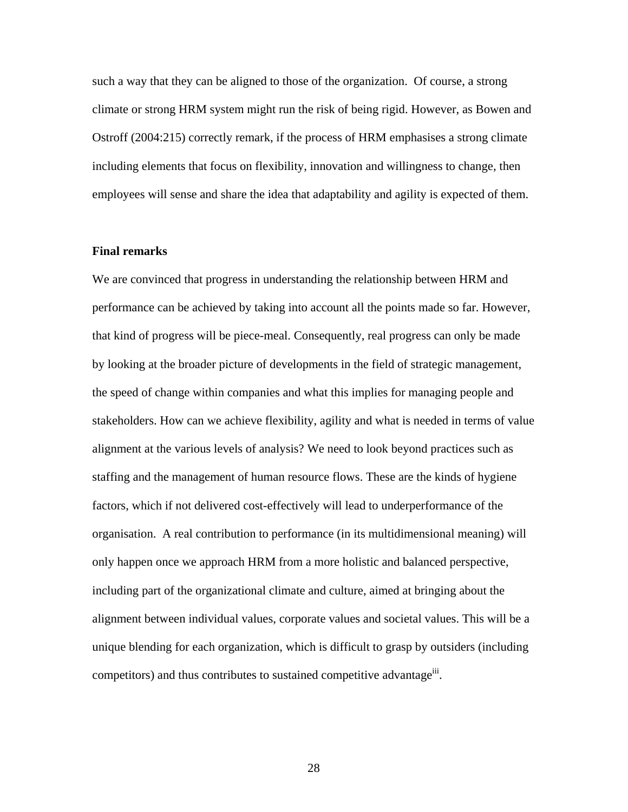such a way that they can be aligned to those of the organization. Of course, a strong climate or strong HRM system might run the risk of being rigid. However, as Bowen and Ostroff (2004:215) correctly remark, if the process of HRM emphasises a strong climate including elements that focus on flexibility, innovation and willingness to change, then employees will sense and share the idea that adaptability and agility is expected of them.

# **Final remarks**

We are convinced that progress in understanding the relationship between HRM and performance can be achieved by taking into account all the points made so far. However, that kind of progress will be piece-meal. Consequently, real progress can only be made by looking at the broader picture of developments in the field of strategic management, the speed of change within companies and what this implies for managing people and stakeholders. How can we achieve flexibility, agility and what is needed in terms of value alignment at the various levels of analysis? We need to look beyond practices such as staffing and the management of human resource flows. These are the kinds of hygiene factors, which if not delivered cost-effectively will lead to underperformance of the organisation. A real contribution to performance (in its multidimensional meaning) will only happen once we approach HRM from a more holistic and balanced perspective, including part of the organizational climate and culture, aimed at bringing about the alignment between individual values, corporate values and societal values. This will be a unique blending for each organization, which is difficult to grasp by outsiders (including competitors) and thus contributes to sustained competitive advantage<sup>111</sup>.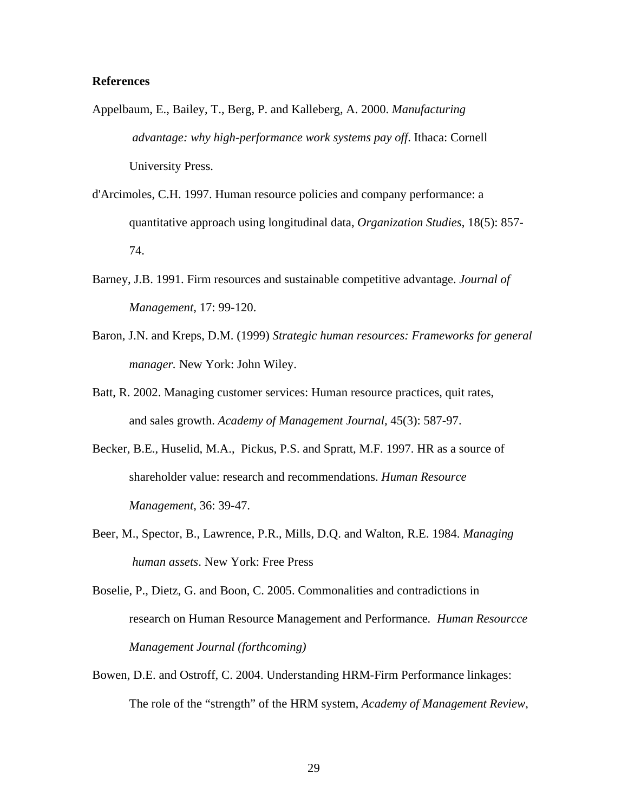# **References**

- Appelbaum, E., Bailey, T., Berg, P. and Kalleberg, A. 2000. *Manufacturing advantage: why high-performance work systems pay off*. Ithaca: Cornell University Press.
- d'Arcimoles, C.H. 1997. Human resource policies and company performance: a quantitative approach using longitudinal data, *Organization Studies*, 18(5): 857- 74.
- Barney, J.B. 1991. Firm resources and sustainable competitive advantage. *Journal of Management,* 17: 99-120.
- Baron, J.N. and Kreps, D.M. (1999) *Strategic human resources: Frameworks for general manager.* New York: John Wiley.
- Batt, R. 2002. Managing customer services: Human resource practices, quit rates, and sales growth. *Academy of Management Journal,* 45(3): 587-97.
- Becker, B.E., Huselid, M.A., Pickus, P.S. and Spratt, M.F. 1997. HR as a source of shareholder value: research and recommendations. *Human Resource Management*, 36: 39-47.
- Beer, M., Spector, B., Lawrence, P.R., Mills, D.Q. and Walton, R.E. 1984. *Managing human assets*. New York: Free Press
- Boselie, P., Dietz, G. and Boon, C. 2005. Commonalities and contradictions in research on Human Resource Management and Performance*. Human Resourcce Management Journal (forthcoming)*
- Bowen, D.E. and Ostroff, C. 2004. Understanding HRM-Firm Performance linkages: The role of the "strength" of the HRM system, *Academy of Management Review*,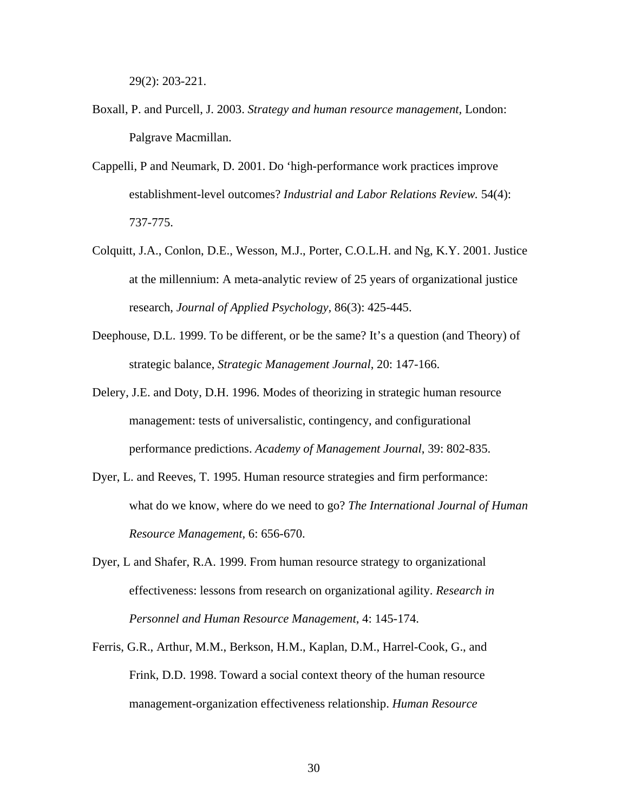29(2): 203-221.

- Boxall, P. and Purcell, J. 2003. *Strategy and human resource management,* London: Palgrave Macmillan.
- Cappelli, P and Neumark, D. 2001. Do 'high-performance work practices improve establishment-level outcomes? *Industrial and Labor Relations Review.* 54(4): 737-775.
- Colquitt, J.A., Conlon, D.E., Wesson, M.J., Porter, C.O.L.H. and Ng, K.Y. 2001. Justice at the millennium: A meta-analytic review of 25 years of organizational justice research, *Journal of Applied Psychology,* 86(3): 425-445.
- Deephouse, D.L. 1999. To be different, or be the same? It's a question (and Theory) of strategic balance, *Strategic Management Journal*, 20: 147-166.
- Delery, J.E. and Doty, D.H. 1996. Modes of theorizing in strategic human resource management: tests of universalistic, contingency, and configurational performance predictions. *Academy of Management Journal*, 39: 802-835.
- Dyer, L. and Reeves, T. 1995. Human resource strategies and firm performance: what do we know, where do we need to go? *The International Journal of Human Resource Management,* 6: 656-670.
- Dyer, L and Shafer, R.A. 1999. From human resource strategy to organizational effectiveness: lessons from research on organizational agility. *Research in Personnel and Human Resource Management*, 4: 145-174.
- Ferris, G.R., Arthur, M.M., Berkson, H.M., Kaplan, D.M., Harrel-Cook, G., and Frink, D.D. 1998. Toward a social context theory of the human resource management-organization effectiveness relationship. *Human Resource*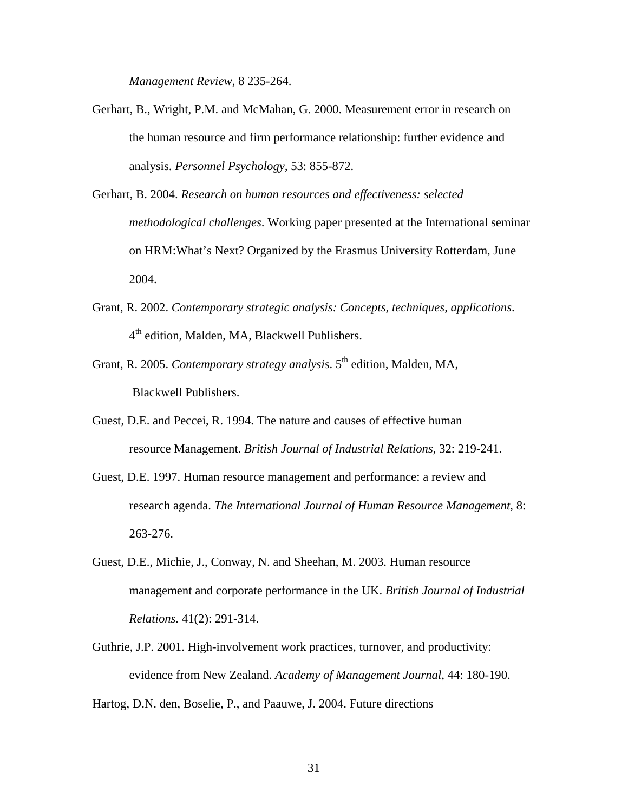*Management Review*, 8 235-264.

- Gerhart, B., Wright, P.M. and McMahan, G. 2000. Measurement error in research on the human resource and firm performance relationship: further evidence and analysis. *Personnel Psychology,* 53: 855-872.
- Gerhart, B. 2004. *Research on human resources and effectiveness: selected methodological challenges*. Working paper presented at the International seminar on HRM:What's Next? Organized by the Erasmus University Rotterdam, June 2004.
- Grant, R. 2002. *Contemporary strategic analysis: Concepts, techniques, applications*.  $4<sup>th</sup>$  edition, Malden, MA, Blackwell Publishers.
- Grant, R. 2005. *Contemporary strategy analysis*. 5<sup>th</sup> edition, Malden, MA, Blackwell Publishers.
- Guest, D.E. and Peccei, R. 1994. The nature and causes of effective human resource Management. *British Journal of Industrial Relations,* 32: 219-241.
- Guest, D.E. 1997. Human resource management and performance: a review and research agenda. *The International Journal of Human Resource Management*, 8: 263-276.
- Guest, D.E., Michie, J., Conway, N. and Sheehan, M. 2003. Human resource management and corporate performance in the UK. *British Journal of Industrial Relations.* 41(2): 291-314.
- Guthrie, J.P. 2001. High-involvement work practices, turnover, and productivity: evidence from New Zealand. *Academy of Management Journal*, 44: 180-190.

Hartog, D.N. den, Boselie, P., and Paauwe, J. 2004. Future directions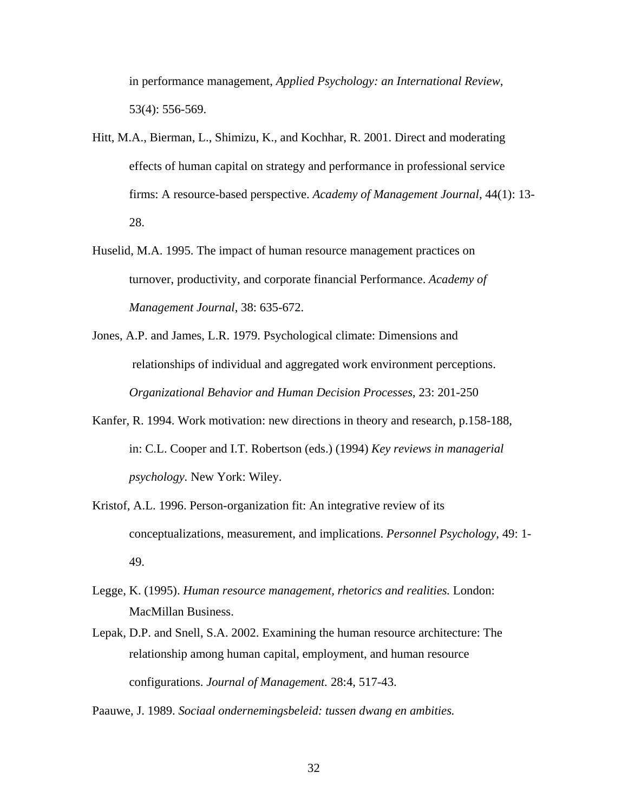in performance management, *Applied Psychology: an International Review,* 53(4): 556-569.

- Hitt, M.A., Bierman, L., Shimizu, K., and Kochhar, R. 2001. Direct and moderating effects of human capital on strategy and performance in professional service firms: A resource-based perspective. *Academy of Management Journal*, 44(1): 13- 28.
- Huselid, M.A. 1995. The impact of human resource management practices on turnover, productivity, and corporate financial Performance. *Academy of Management Journal*, 38: 635-672.
- Jones, A.P. and James, L.R. 1979. Psychological climate: Dimensions and relationships of individual and aggregated work environment perceptions. *Organizational Behavior and Human Decision Processes*, 23: 201-250
- Kanfer, R. 1994. Work motivation: new directions in theory and research, p.158-188, in: C.L. Cooper and I.T. Robertson (eds.) (1994) *Key reviews in managerial psychology.* New York: Wiley.
- Kristof, A.L. 1996. Person-organization fit: An integrative review of its conceptualizations, measurement, and implications. *Personnel Psychology*, 49: 1- 49.
- Legge, K. (1995). *Human resource management, rhetorics and realities.* London: MacMillan Business.
- Lepak, D.P. and Snell, S.A. 2002. Examining the human resource architecture: The relationship among human capital, employment, and human resource configurations. *Journal of Management.* 28:4, 517-43.

Paauwe, J. 1989. *Sociaal ondernemingsbeleid: tussen dwang en ambities.*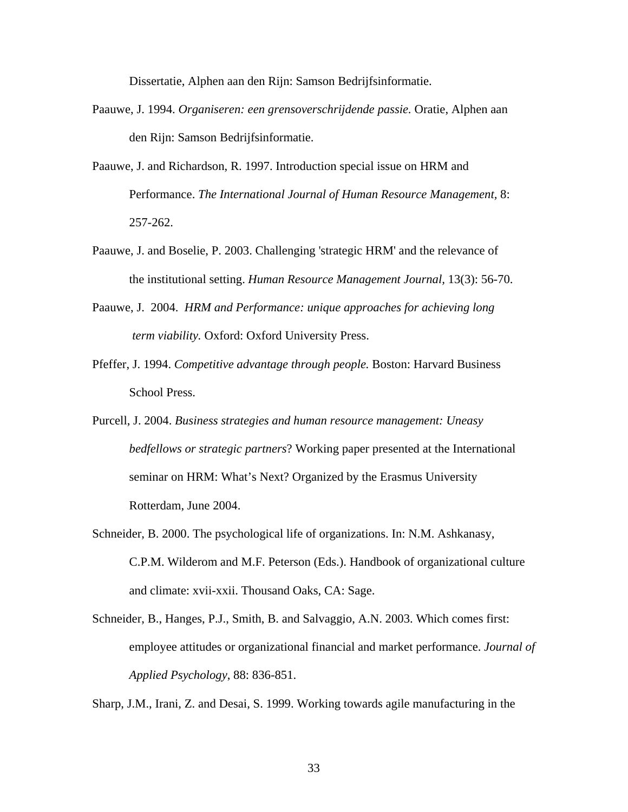Dissertatie, Alphen aan den Rijn: Samson Bedrijfsinformatie.

- Paauwe, J. 1994. *Organiseren: een grensoverschrijdende passie.* Oratie, Alphen aan den Rijn: Samson Bedrijfsinformatie.
- Paauwe, J. and Richardson, R. 1997. Introduction special issue on HRM and Performance. *The International Journal of Human Resource Management,* 8: 257-262.
- Paauwe, J. and Boselie, P. 2003. Challenging 'strategic HRM' and the relevance of the institutional setting. *Human Resource Management Journal,* 13(3): 56-70.
- Paauwe, J. 2004. *HRM and Performance: unique approaches for achieving long term viability.* Oxford: Oxford University Press.
- Pfeffer, J. 1994. *Competitive advantage through people.* Boston: Harvard Business School Press.
- Purcell, J. 2004. *Business strategies and human resource management: Uneasy bedfellows or strategic partners*? Working paper presented at the International seminar on HRM: What's Next? Organized by the Erasmus University Rotterdam, June 2004.
- Schneider, B. 2000. The psychological life of organizations. In: N.M. Ashkanasy, C.P.M. Wilderom and M.F. Peterson (Eds.). Handbook of organizational culture and climate: xvii-xxii. Thousand Oaks, CA: Sage.
- Schneider, B., Hanges, P.J., Smith, B. and Salvaggio, A.N. 2003. Which comes first: employee attitudes or organizational financial and market performance. *Journal of Applied Psychology*, 88: 836-851.

Sharp, J.M., Irani, Z. and Desai, S. 1999. Working towards agile manufacturing in the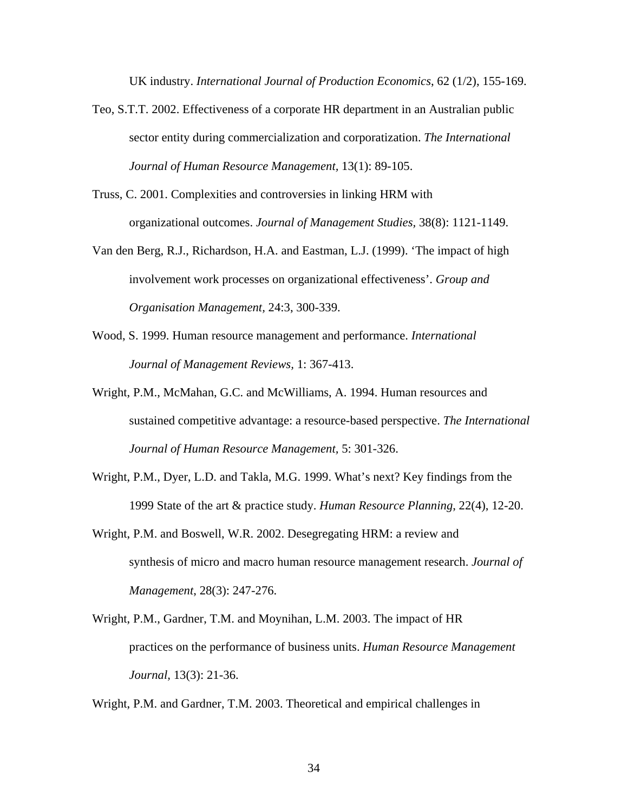UK industry. *International Journal of Production Economics*, 62 (1/2), 155-169.

- Teo, S.T.T. 2002. Effectiveness of a corporate HR department in an Australian public sector entity during commercialization and corporatization. *The International Journal of Human Resource Management,* 13(1): 89-105.
- Truss, C. 2001. Complexities and controversies in linking HRM with organizational outcomes. *Journal of Management Studies,* 38(8): 1121-1149.
- Van den Berg, R.J., Richardson, H.A. and Eastman, L.J. (1999). 'The impact of high involvement work processes on organizational effectiveness'. *Group and Organisation Management,* 24:3, 300-339.
- Wood, S. 1999. Human resource management and performance. *International Journal of Management Reviews,* 1: 367-413.
- Wright, P.M., McMahan, G.C. and McWilliams, A. 1994. Human resources and sustained competitive advantage: a resource-based perspective. *The International Journal of Human Resource Management,* 5: 301-326.
- Wright, P.M., Dyer, L.D. and Takla, M.G. 1999. What's next? Key findings from the 1999 State of the art & practice study. *Human Resource Planning*, 22(4), 12-20.
- Wright, P.M. and Boswell, W.R. 2002. Desegregating HRM: a review and synthesis of micro and macro human resource management research. *Journal of Management*, 28(3): 247-276.
- Wright, P.M., Gardner, T.M. and Moynihan, L.M. 2003. The impact of HR practices on the performance of business units. *Human Resource Management Journal,* 13(3): 21-36.

Wright, P.M. and Gardner, T.M. 2003. Theoretical and empirical challenges in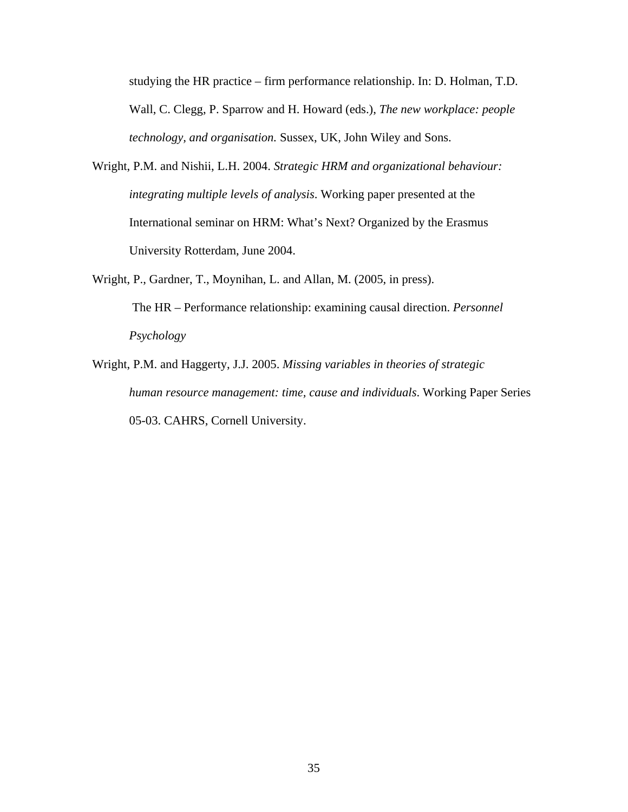studying the HR practice – firm performance relationship. In: D. Holman, T.D. Wall, C. Clegg, P. Sparrow and H. Howard (eds.), *The new workplace: people technology, and organisation.* Sussex, UK, John Wiley and Sons.

- Wright, P.M. and Nishii, L.H. 2004. *Strategic HRM and organizational behaviour: integrating multiple levels of analysis*. Working paper presented at the International seminar on HRM: What's Next? Organized by the Erasmus University Rotterdam, June 2004.
- Wright, P., Gardner, T., Moynihan, L. and Allan, M. (2005, in press). The HR – Performance relationship: examining causal direction. *Personnel Psychology*
- Wright, P.M. and Haggerty, J.J. 2005. *Missing variables in theories of strategic human resource management: time, cause and individuals*. Working Paper Series 05-03. CAHRS, Cornell University.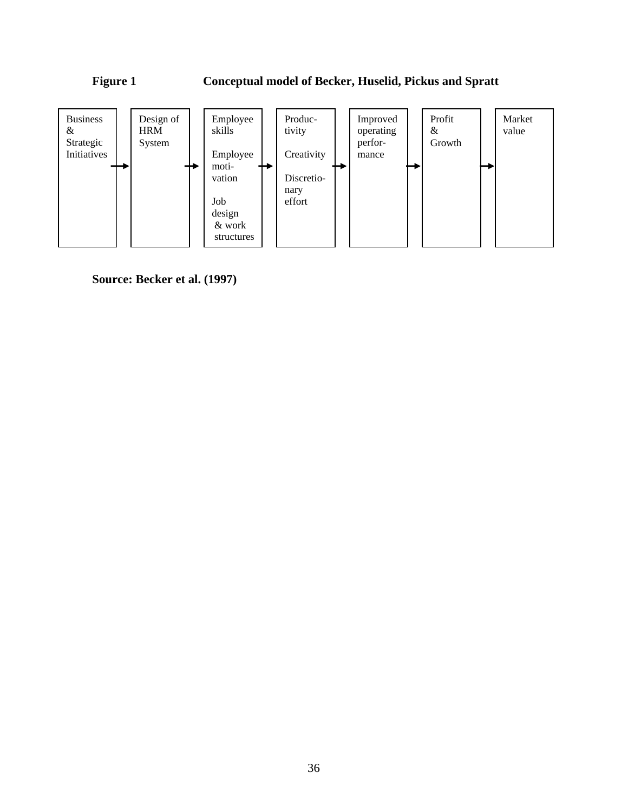



**Source: Becker et al. (1997)**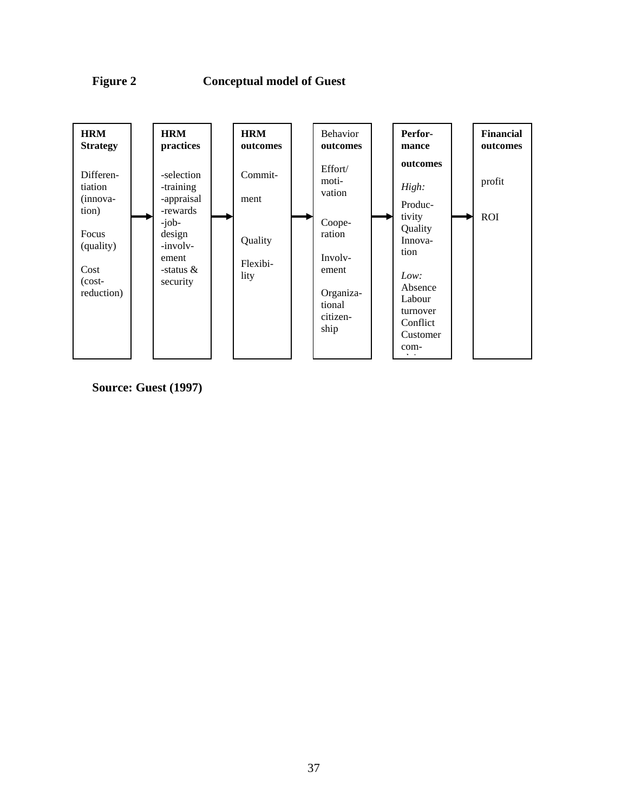



**Source: Guest (1997)**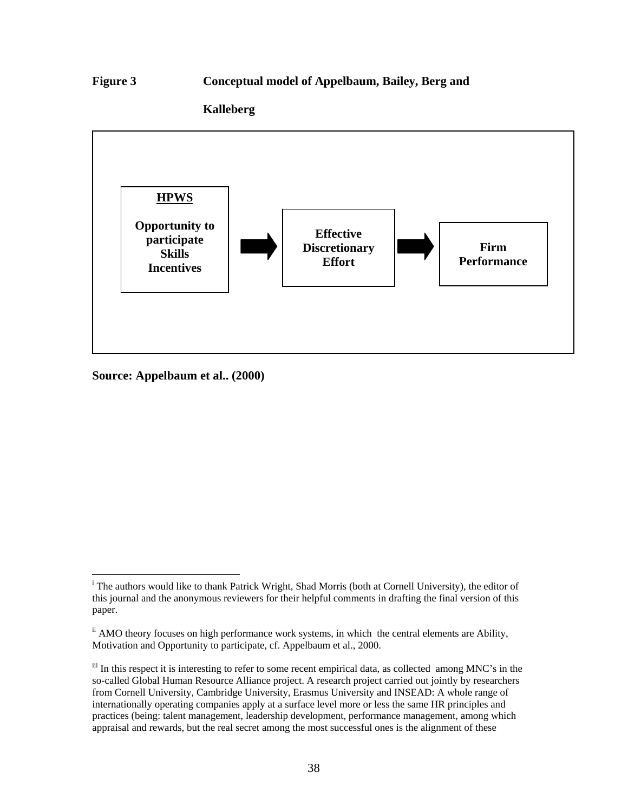$\overline{a}$ 

**Figure 3 Conceptual model of Appelbaum, Bailey, Berg and** 

# **Kalleberg**



**Source: Appelbaum et al.. (2000)** 

<sup>&</sup>lt;sup>i</sup> The authors would like to thank Patrick Wright, Shad Morris (both at Cornell University), the editor of this journal and the anonymous reviewers for their helpful comments in drafting the final version of this paper.

<sup>&</sup>lt;sup>ii</sup> AMO theory focuses on high performance work systems, in which the central elements are Ability, Motivation and Opportunity to participate, cf. Appelbaum et al., 2000.

iii In this respect it is interesting to refer to some recent empirical data, as collected among MNC's in the so-called Global Human Resource Alliance project. A research project carried out jointly by researchers from Cornell University, Cambridge University, Erasmus University and INSEAD: A whole range of internationally operating companies apply at a surface level more or less the same HR principles and practices (being: talent management, leadership development, performance management, among which appraisal and rewards, but the real secret among the most successful ones is the alignment of these